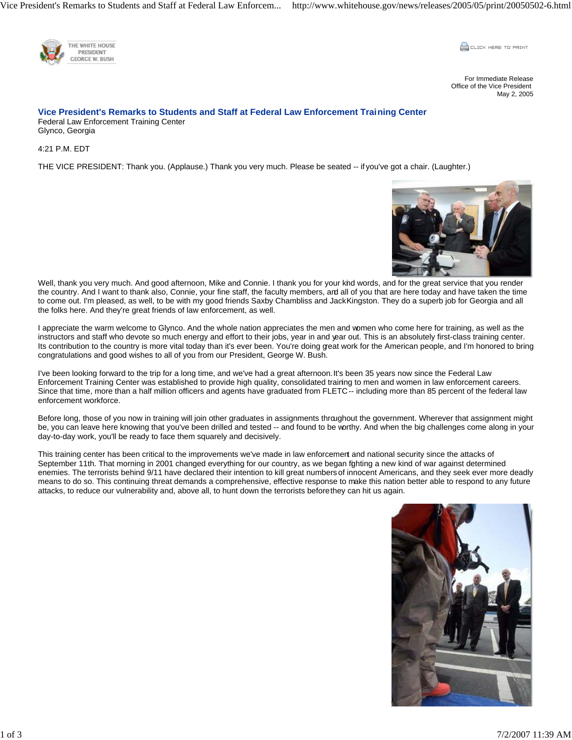Vice President's Remarks to Students and Staff at Federal Law Enforcem... http://www.whitehouse.gov/news/releases/2005/05/print/20050502-6.html



**CLICK HERE TO PRINT** 

For Immediate Release Office of the Vice President May 2, 2005

## **Vice President's Remarks to Students and Staff at Federal Law Enforcement Training Center**  Federal Law Enforcement Training Center Glynco, Georgia

4:21 P.M. EDT

THE VICE PRESIDENT: Thank you. (Applause.) Thank you very much. Please be seated -- if you've got a chair. (Laughter.)



Well, thank you very much. And good afternoon, Mike and Connie. I thank you for your kind words, and for the great service that you render the country. And I want to thank also, Connie, your fine staff, the faculty members, and all of you that are here today and have taken the time to come out. I'm pleased, as well, to be with my good friends Saxby Chambliss and Jack Kingston. They do a superb job for Georgia and all the folks here. And they're great friends of law enforcement, as well.

I appreciate the warm welcome to Glynco. And the whole nation appreciates the men and women who come here for training, as well as the instructors and staff who devote so much energy and effort to their jobs, year in and year out. This is an absolutely first-class training center. Its contribution to the country is more vital today than it's ever been. You're doing great work for the American people, and I'm honored to bring congratulations and good wishes to all of you from our President, George W. Bush.

I've been looking forward to the trip for a long time, and we've had a great afternoon. It's been 35 years now since the Federal Law Enforcement Training Center was established to provide high quality, consolidated training to men and women in law enforcement careers. Since that time, more than a half million officers and agents have graduated from FLETC -- including more than 85 percent of the federal law enforcement workforce.

Before long, those of you now in training will join other graduates in assignments throughout the government. Wherever that assignment might be, you can leave here knowing that you've been drilled and tested -- and found to be worthy. And when the big challenges come along in your day-to-day work, you'll be ready to face them squarely and decisively.

This training center has been critical to the improvements we've made in law enforcement and national security since the attacks of September 11th. That morning in 2001 changed everything for our country, as we began fighting a new kind of war against determined enemies. The terrorists behind 9/11 have declared their intention to kill great numbers of innocent Americans, and they seek ever more deadly means to do so. This continuing threat demands a comprehensive, effective response to make this nation better able to respond to any future attacks, to reduce our vulnerability and, above all, to hunt down the terrorists before they can hit us again.

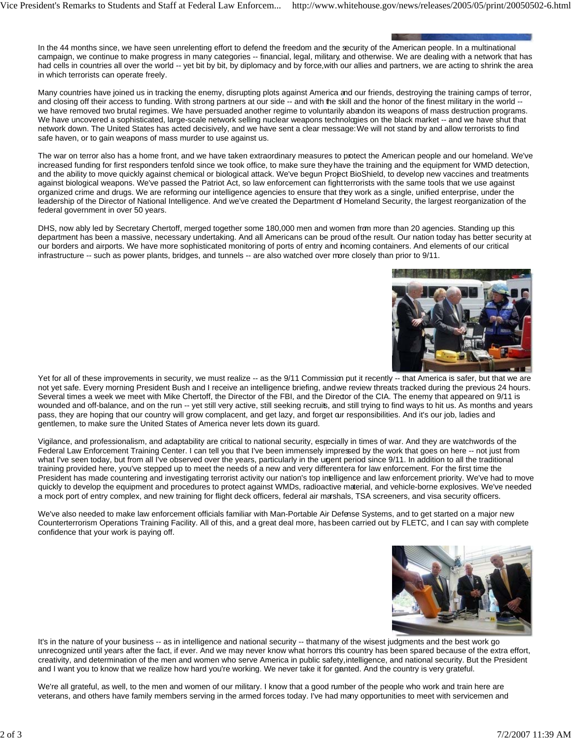In the 44 months since, we have seen unrelenting effort to defend the freedom and the security of the American people. In a multinational campaign, we continue to make progress in many categories -- financial, legal, military, and otherwise. We are dealing with a network that has had cells in countries all over the world -- yet bit by bit, by diplomacy and by force, with our allies and partners, we are acting to shrink the area in which terrorists can operate freely.

Many countries have joined us in tracking the enemy, disrupting plots against America and our friends, destroying the training camps of terror, and closing off their access to funding. With strong partners at our side -- and with the skill and the honor of the finest military in the world -we have removed two brutal regimes. We have persuaded another regime to voluntarily abandon its weapons of mass destruction programs. We have uncovered a sophisticated, large-scale network selling nuclear weapons technologies on the black market -- and we have shut that network down. The United States has acted decisively, and we have sent a clear message: We will not stand by and allow terrorists to find safe haven, or to gain weapons of mass murder to use against us.

The war on terror also has a home front, and we have taken extraordinary measures to protect the American people and our homeland. We've increased funding for first responders tenfold since we took office, to make sure they have the training and the equipment for WMD detection, and the ability to move quickly against chemical or biological attack. We've begun Project BioShield, to develop new vaccines and treatments against biological weapons. We've passed the Patriot Act, so law enforcement can fight terrorists with the same tools that we use against organized crime and drugs. We are reforming our intelligence agencies to ensure that they work as a single, unified enterprise, under the leadership of the Director of National Intelligence. And we've created the Department of Homeland Security, the largest reorganization of the federal government in over 50 years.

DHS, now ably led by Secretary Chertoff, merged together some 180,000 men and women from more than 20 agencies. Standing up this department has been a massive, necessary undertaking. And all Americans can be proud of the result. Our nation today has better security at our borders and airports. We have more sophisticated monitoring of ports of entry and incoming containers. And elements of our critical infrastructure -- such as power plants, bridges, and tunnels -- are also watched over more closely than prior to 9/11.



Yet for all of these improvements in security, we must realize -- as the 9/11 Commission put it recently -- that America is safer, but that we are not yet safe. Every morning President Bush and I receive an intelligence briefing, and we review threats tracked during the previous 24 hours. Several times a week we meet with Mike Chertoff, the Director of the FBI, and the Director of the CIA. The enemy that appeared on 9/11 is wounded and off-balance, and on the run -- yet still very active, still seeking recruits, and still trying to find ways to hit us. As months and years pass, they are hoping that our country will grow complacent, and get lazy, and forget our responsibilities. And it's our job, ladies and gentlemen, to make sure the United States of America never lets down its guard.

Vigilance, and professionalism, and adaptability are critical to national security, especially in times of war. And they are watchwords of the Federal Law Enforcement Training Center. I can tell you that I've been immensely impressed by the work that goes on here -- not just from what I've seen today, but from all I've observed over the years, particularly in the urgent period since 9/11. In addition to all the traditional training provided here, you've stepped up to meet the needs of a new and very differentera for law enforcement. For the first time the President has made countering and investigating terrorist activity our nation's top intelligence and law enforcement priority. We've had to move quickly to develop the equipment and procedures to protect against WMDs, radioactive material, and vehicle-borne explosives. We've needed a mock port of entry complex, and new training for flight deck officers, federal air marshals, TSA screeners, and visa security officers.

We've also needed to make law enforcement officials familiar with Man-Portable Air Defense Systems, and to get started on a major new Counterterrorism Operations Training Facility. All of this, and a great deal more, has been carried out by FLETC, and I can say with complete confidence that your work is paying off.



It's in the nature of your business -- as in intelligence and national security -- that many of the wisest judgments and the best work go unrecognized until years after the fact, if ever. And we may never know what horrors this country has been spared because of the extra effort, creativity, and determination of the men and women who serve America in public safety, intelligence, and national security. But the President and I want you to know that we realize how hard you're working. We never take it for ganted. And the country is very grateful.

We're all grateful, as well, to the men and women of our military. I know that a good rumber of the people who work and train here are veterans, and others have family members serving in the armed forces today. I've had many opportunities to meet with servicemen and